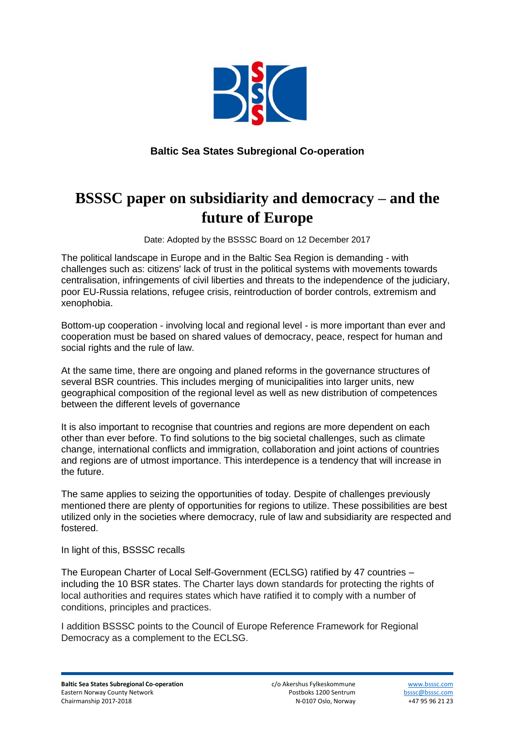

## **Baltic Sea States Subregional Co-operation**

# **BSSSC paper on subsidiarity and democracy – and the future of Europe**

Date: Adopted by the BSSSC Board on 12 December 2017

The political landscape in Europe and in the Baltic Sea Region is demanding - with challenges such as: citizens' lack of trust in the political systems with movements towards centralisation, infringements of civil liberties and threats to the independence of the judiciary, poor EU-Russia relations, refugee crisis, reintroduction of border controls, extremism and xenophobia.

Bottom-up cooperation - involving local and regional level - is more important than ever and cooperation must be based on shared values of democracy, peace, respect for human and social rights and the rule of law.

At the same time, there are ongoing and planed reforms in the governance structures of several BSR countries. This includes merging of municipalities into larger units, new geographical composition of the regional level as well as new distribution of competences between the different levels of governance

It is also important to recognise that countries and regions are more dependent on each other than ever before. To find solutions to the big societal challenges, such as climate change, international conflicts and immigration, collaboration and joint actions of countries and regions are of utmost importance. This interdepence is a tendency that will increase in the future.

The same applies to seizing the opportunities of today. Despite of challenges previously mentioned there are plenty of opportunities for regions to utilize. These possibilities are best utilized only in the societies where democracy, rule of law and subsidiarity are respected and fostered.

In light of this, BSSSC recalls

The European Charter of Local Self-Government (ECLSG) ratified by 47 countries – including the 10 BSR states. The Charter lays down standards for protecting the rights of local authorities and requires states which have ratified it to comply with a number of conditions, principles and practices.

I addition BSSSC points to the Council of Europe Reference Framework for Regional Democracy as a complement to the ECLSG.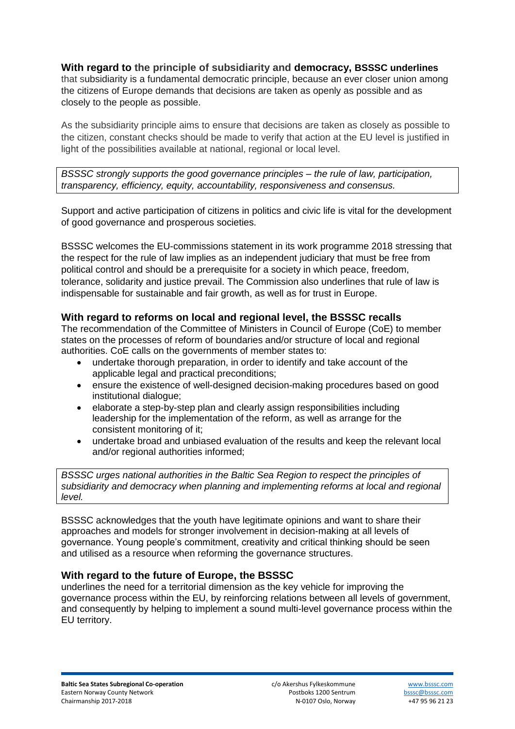## **With regard to the principle of subsidiarity and democracy, BSSSC underlines**

that subsidiarity is a fundamental democratic principle, because an ever closer union among the citizens of Europe demands that decisions are taken as openly as possible and as closely to the people as possible.

As the subsidiarity principle aims to ensure that decisions are taken as closely as possible to the citizen, constant checks should be made to verify that action at the EU level is justified in light of the possibilities available at national, regional or local level.

*BSSSC strongly supports the good governance principles – the rule of law, participation, transparency, efficiency, equity, accountability, responsiveness and consensus.* 

Support and active participation of citizens in politics and civic life is vital for the development of good governance and prosperous societies.

BSSSC welcomes the EU-commissions statement in its work programme 2018 stressing that the respect for the rule of law implies as an independent judiciary that must be free from political control and should be a prerequisite for a society in which peace, freedom, tolerance, solidarity and justice prevail. The Commission also underlines that rule of law is indispensable for sustainable and fair growth, as well as for trust in Europe.

### **With regard to reforms on local and regional level, the BSSSC recalls**

The recommendation of the Committee of Ministers in Council of Europe (CoE) to member states on the processes of reform of boundaries and/or structure of local and regional authorities. CoE calls on the governments of member states to:

- undertake thorough preparation, in order to identify and take account of the applicable legal and practical preconditions;
- ensure the existence of well-designed decision-making procedures based on good institutional dialogue;
- elaborate a step-by-step plan and clearly assign responsibilities including leadership for the implementation of the reform, as well as arrange for the consistent monitoring of it;
- undertake broad and unbiased evaluation of the results and keep the relevant local and/or regional authorities informed;

*BSSSC urges national authorities in the Baltic Sea Region to respect the principles of subsidiarity and democracy when planning and implementing reforms at local and regional level.*

BSSSC acknowledges that the youth have legitimate opinions and want to share their approaches and models for stronger involvement in decision-making at all levels of governance. Young people's commitment, creativity and critical thinking should be seen and utilised as a resource when reforming the governance structures.

#### **With regard to the future of Europe, the BSSSC**

underlines the need for a territorial dimension as the key vehicle for improving the governance process within the EU, by reinforcing relations between all levels of government, and consequently by helping to implement a sound multi-level governance process within the EU territory.